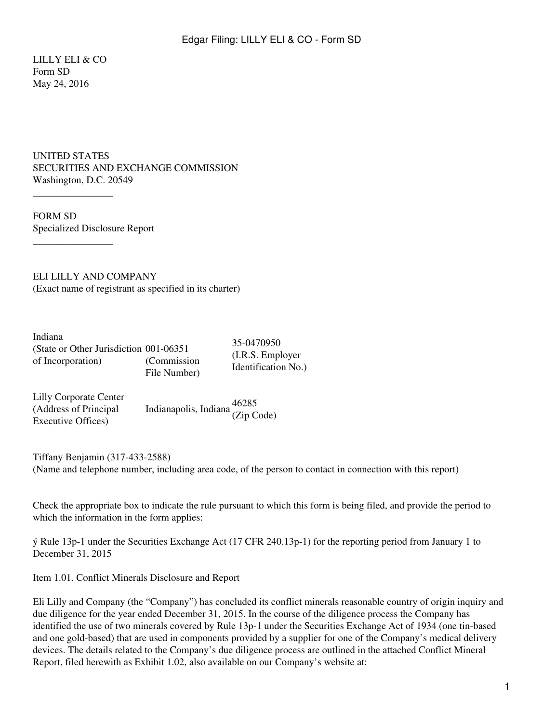LILLY ELI & CO Form SD May 24, 2016

UNITED STATES SECURITIES AND EXCHANGE COMMISSION Washington, D.C. 20549

FORM SD Specialized Disclosure Report

 $\overline{\phantom{a}}$  , where  $\overline{\phantom{a}}$ 

 $\overline{\phantom{a}}$  , where  $\overline{\phantom{a}}$ 

ELI LILLY AND COMPANY (Exact name of registrant as specified in its charter)

Indiana (State or Other Jurisdiction 001-06351 of Incorporation) (Commission File Number)

35-0470950 (I.R.S. Employer Identification No.)

Lilly Corporate Center (Address of Principal Executive Offices) Indianapolis, Indiana 46285 (Zip Code)

Tiffany Benjamin (317-433-2588) (Name and telephone number, including area code, of the person to contact in connection with this report)

Check the appropriate box to indicate the rule pursuant to which this form is being filed, and provide the period to which the information in the form applies:

ý Rule 13p-1 under the Securities Exchange Act (17 CFR 240.13p-1) for the reporting period from January 1 to December 31, 2015

Item 1.01. Conflict Minerals Disclosure and Report

Eli Lilly and Company (the "Company") has concluded its conflict minerals reasonable country of origin inquiry and due diligence for the year ended December 31, 2015. In the course of the diligence process the Company has identified the use of two minerals covered by Rule 13p-1 under the Securities Exchange Act of 1934 (one tin-based and one gold-based) that are used in components provided by a supplier for one of the Company's medical delivery devices. The details related to the Company's due diligence process are outlined in the attached Conflict Mineral Report, filed herewith as Exhibit 1.02, also available on our Company's website at: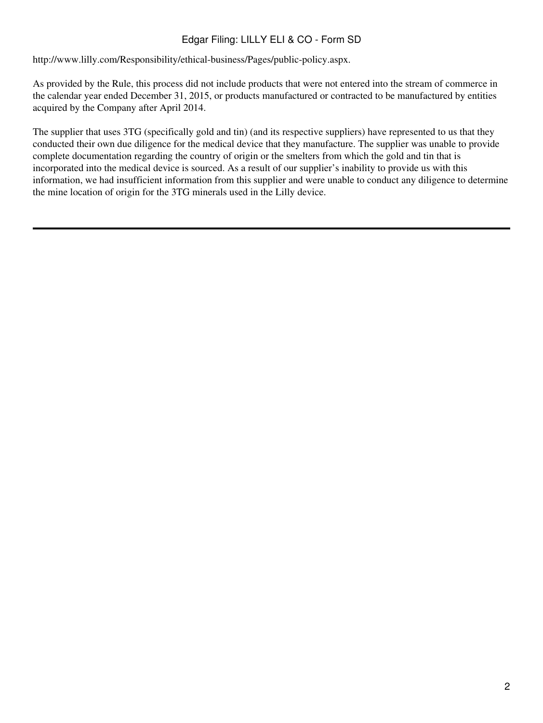## Edgar Filing: LILLY ELI & CO - Form SD

http://www.lilly.com/Responsibility/ethical-business/Pages/public-policy.aspx.

As provided by the Rule, this process did not include products that were not entered into the stream of commerce in the calendar year ended December 31, 2015, or products manufactured or contracted to be manufactured by entities acquired by the Company after April 2014.

The supplier that uses 3TG (specifically gold and tin) (and its respective suppliers) have represented to us that they conducted their own due diligence for the medical device that they manufacture. The supplier was unable to provide complete documentation regarding the country of origin or the smelters from which the gold and tin that is incorporated into the medical device is sourced. As a result of our supplier's inability to provide us with this information, we had insufficient information from this supplier and were unable to conduct any diligence to determine the mine location of origin for the 3TG minerals used in the Lilly device.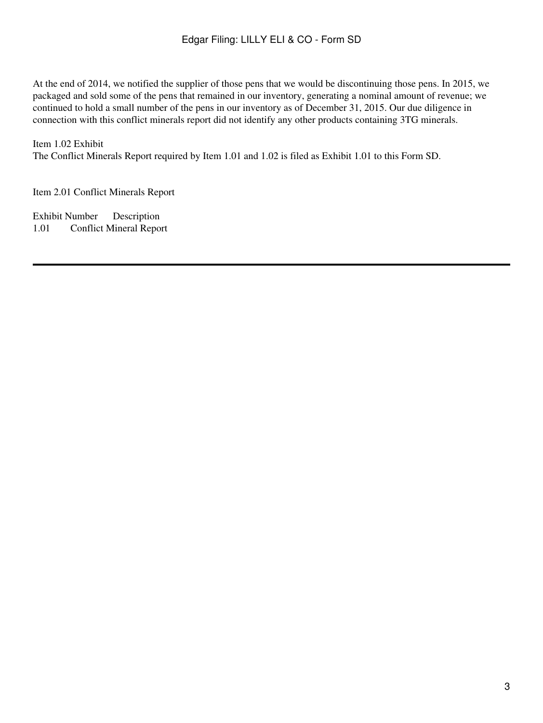At the end of 2014, we notified the supplier of those pens that we would be discontinuing those pens. In 2015, we packaged and sold some of the pens that remained in our inventory, generating a nominal amount of revenue; we continued to hold a small number of the pens in our inventory as of December 31, 2015. Our due diligence in connection with this conflict minerals report did not identify any other products containing 3TG minerals.

## Item 1.02 Exhibit

The Conflict Minerals Report required by Item 1.01 and 1.02 is filed as Exhibit 1.01 to this Form SD.

Item 2.01 Conflict Minerals Report

Exhibit Number Description 1.01 Conflict Mineral Report